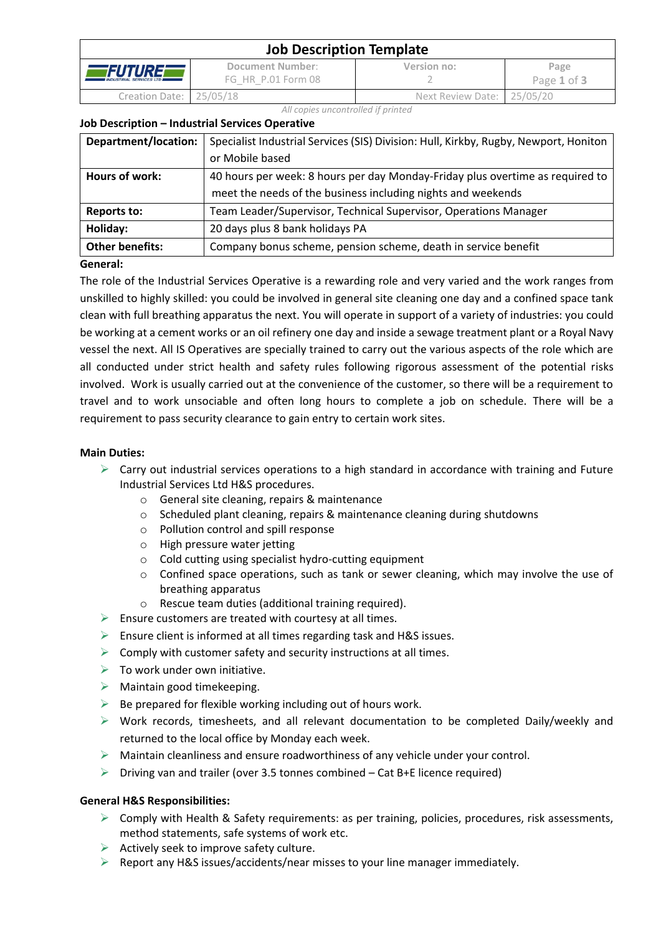| <b>Job Description Template</b>                     |                                        |                            |                     |  |  |
|-----------------------------------------------------|----------------------------------------|----------------------------|---------------------|--|--|
| <i>FUTURE</i><br><b>INDUSTRIAL SERVICES LTD III</b> | Document Number:<br>FG HR P.01 Form 08 | Version no:                | Page<br>Page 1 of 3 |  |  |
| Creation Date:   25/05/18                           |                                        | Next Review Date: 25/05/20 |                     |  |  |

*All copies uncontrolled if printed*

### **Job Description – Industrial Services Operative**

| Department/location:   | Specialist Industrial Services (SIS) Division: Hull, Kirkby, Rugby, Newport, Honiton |
|------------------------|--------------------------------------------------------------------------------------|
|                        | or Mobile based                                                                      |
| Hours of work:         | 40 hours per week: 8 hours per day Monday-Friday plus overtime as required to        |
|                        | meet the needs of the business including nights and weekends                         |
| <b>Reports to:</b>     | Team Leader/Supervisor, Technical Supervisor, Operations Manager                     |
| Holiday:               | 20 days plus 8 bank holidays PA                                                      |
| <b>Other benefits:</b> | Company bonus scheme, pension scheme, death in service benefit                       |

# **General:**

The role of the Industrial Services Operative is a rewarding role and very varied and the work ranges from unskilled to highly skilled: you could be involved in general site cleaning one day and a confined space tank clean with full breathing apparatus the next. You will operate in support of a variety of industries: you could be working at a cement works or an oil refinery one day and inside a sewage treatment plant or a Royal Navy vessel the next. All IS Operatives are specially trained to carry out the various aspects of the role which are all conducted under strict health and safety rules following rigorous assessment of the potential risks involved. Work is usually carried out at the convenience of the customer, so there will be a requirement to travel and to work unsociable and often long hours to complete a job on schedule. There will be a requirement to pass security clearance to gain entry to certain work sites.

### **Main Duties:**

- $\triangleright$  Carry out industrial services operations to a high standard in accordance with training and Future Industrial Services Ltd H&S procedures.
	- o General site cleaning, repairs & maintenance
	- o Scheduled plant cleaning, repairs & maintenance cleaning during shutdowns
	- o Pollution control and spill response
	- o High pressure water jetting
	- o Cold cutting using specialist hydro-cutting equipment
	- o Confined space operations, such as tank or sewer cleaning, which may involve the use of breathing apparatus
	- o Rescue team duties (additional training required).
- $\triangleright$  Ensure customers are treated with courtesy at all times.
- $\triangleright$  Ensure client is informed at all times regarding task and H&S issues.
- $\triangleright$  Comply with customer safety and security instructions at all times.
- $\triangleright$  To work under own initiative.
- $\triangleright$  Maintain good timekeeping.
- $\triangleright$  Be prepared for flexible working including out of hours work.
- $\triangleright$  Work records, timesheets, and all relevant documentation to be completed Daily/weekly and returned to the local office by Monday each week.
- $\triangleright$  Maintain cleanliness and ensure roadworthiness of any vehicle under your control.
- $\triangleright$  Driving van and trailer (over 3.5 tonnes combined Cat B+E licence required)

### **General H&S Responsibilities:**

- $\triangleright$  Comply with Health & Safety requirements: as per training, policies, procedures, risk assessments, method statements, safe systems of work etc.
- $\triangleright$  Actively seek to improve safety culture.
- ➢ Report any H&S issues/accidents/near misses to your line manager immediately.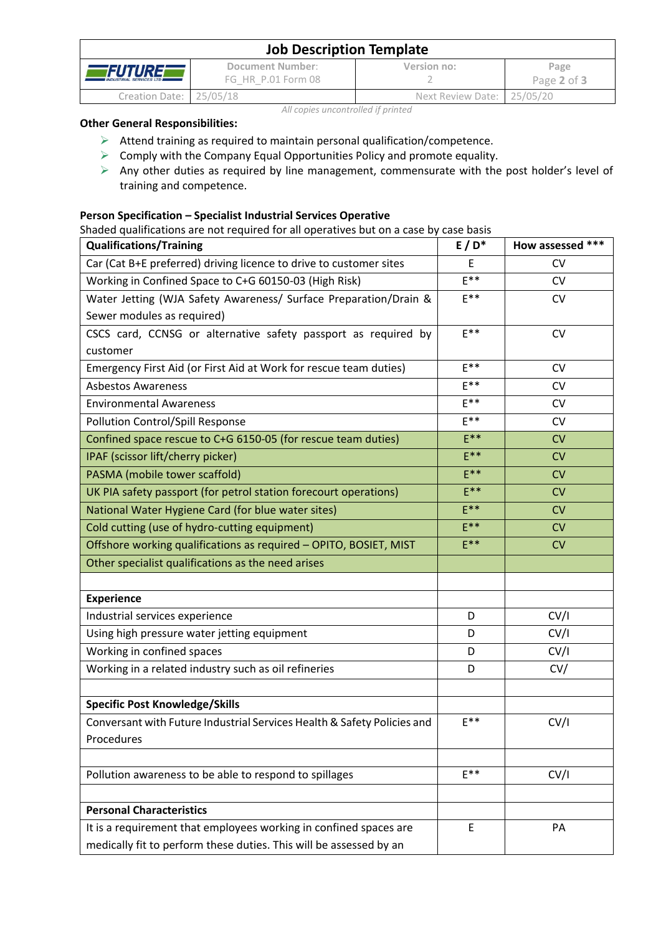| <b>Job Description Template</b>                                                       |  |                            |                     |  |  |
|---------------------------------------------------------------------------------------|--|----------------------------|---------------------|--|--|
| Document Number:<br>TFUTUREL<br>FG HR P.01 Form 08<br><b>INDUSTRIAL SERVICES LTD.</b> |  | Version no:                | Page<br>Page 2 of 3 |  |  |
| Creation Date: 25/05/18                                                               |  | Next Review Date: 25/05/20 |                     |  |  |

*All copies uncontrolled if printed*

# **Other General Responsibilities:**

- ➢ Attend training as required to maintain personal qualification/competence.
- ➢ Comply with the Company Equal Opportunities Policy and promote equality.
- ➢ Any other duties as required by line management, commensurate with the post holder's level of training and competence.

# **Person Specification – Specialist Industrial Services Operative**

Shaded qualifications are not required for all operatives but on a case by case basis

| <b>Qualifications/Training</b>                                          |          | How assessed *** |
|-------------------------------------------------------------------------|----------|------------------|
| Car (Cat B+E preferred) driving licence to drive to customer sites      |          | <b>CV</b>        |
| Working in Confined Space to C+G 60150-03 (High Risk)                   |          | <b>CV</b>        |
| Water Jetting (WJA Safety Awareness/ Surface Preparation/Drain &        |          | <b>CV</b>        |
| Sewer modules as required)                                              |          |                  |
| CSCS card, CCNSG or alternative safety passport as required by          |          | <b>CV</b>        |
| customer                                                                |          |                  |
| Emergency First Aid (or First Aid at Work for rescue team duties)       | $E***$   | <b>CV</b>        |
| <b>Asbestos Awareness</b>                                               | $E^{**}$ | <b>CV</b>        |
| <b>Environmental Awareness</b>                                          | $E***$   | <b>CV</b>        |
| <b>Pollution Control/Spill Response</b>                                 | $E***$   | <b>CV</b>        |
| Confined space rescue to C+G 6150-05 (for rescue team duties)           | $E***$   | CV               |
| IPAF (scissor lift/cherry picker)                                       | $E***$   | CV               |
| PASMA (mobile tower scaffold)                                           | $E***$   | CV               |
| UK PIA safety passport (for petrol station forecourt operations)        |          | CV               |
| National Water Hygiene Card (for blue water sites)                      | $E***$   | CV               |
| Cold cutting (use of hydro-cutting equipment)                           | $E***$   | CV               |
| Offshore working qualifications as required - OPITO, BOSIET, MIST       | $E***$   | CV               |
| Other specialist qualifications as the need arises                      |          |                  |
|                                                                         |          |                  |
| <b>Experience</b>                                                       |          |                  |
| Industrial services experience                                          |          | CV/I             |
| Using high pressure water jetting equipment                             |          | CV/I             |
| Working in confined spaces                                              | D        | CV/I             |
| Working in a related industry such as oil refineries                    | D        | CV/              |
|                                                                         |          |                  |
| <b>Specific Post Knowledge/Skills</b>                                   |          |                  |
| Conversant with Future Industrial Services Health & Safety Policies and | $E^{**}$ | CV/I             |
| Procedures                                                              |          |                  |
|                                                                         |          |                  |
| Pollution awareness to be able to respond to spillages                  | $E^{**}$ | CV/I             |
|                                                                         |          |                  |
| <b>Personal Characteristics</b>                                         |          |                  |
| It is a requirement that employees working in confined spaces are       | E        | PA               |
| medically fit to perform these duties. This will be assessed by an      |          |                  |